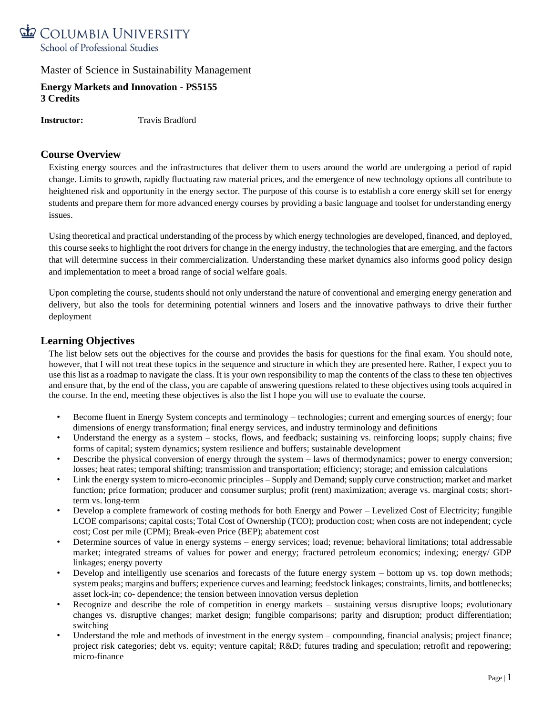

**Energy Markets and Innovation - PS5155 3 Credits**

**Instructor:** Travis Bradford

### **Course Overview**

Existing energy sources and the infrastructures that deliver them to users around the world are undergoing a period of rapid change. Limits to growth, rapidly fluctuating raw material prices, and the emergence of new technology options all contribute to heightened risk and opportunity in the energy sector. The purpose of this course is to establish a core energy skill set for energy students and prepare them for more advanced energy courses by providing a basic language and toolset for understanding energy issues.

Using theoretical and practical understanding of the process by which energy technologies are developed, financed, and deployed, this course seeks to highlight the root drivers for change in the energy industry, the technologies that are emerging, and the factors that will determine success in their commercialization. Understanding these market dynamics also informs good policy design and implementation to meet a broad range of social welfare goals.

Upon completing the course, students should not only understand the nature of conventional and emerging energy generation and delivery, but also the tools for determining potential winners and losers and the innovative pathways to drive their further deployment

### **Learning Objectives**

The list below sets out the objectives for the course and provides the basis for questions for the final exam. You should note, however, that I will not treat these topics in the sequence and structure in which they are presented here. Rather, I expect you to use this list as a roadmap to navigate the class. It is your own responsibility to map the contents of the class to these ten objectives and ensure that, by the end of the class, you are capable of answering questions related to these objectives using tools acquired in the course. In the end, meeting these objectives is also the list I hope you will use to evaluate the course.

- Become fluent in Energy System concepts and terminology technologies; current and emerging sources of energy; four dimensions of energy transformation; final energy services, and industry terminology and definitions
- Understand the energy as a system stocks, flows, and feedback; sustaining vs. reinforcing loops; supply chains; five forms of capital; system dynamics; system resilience and buffers; sustainable development
- Describe the physical conversion of energy through the system laws of thermodynamics; power to energy conversion; losses; heat rates; temporal shifting; transmission and transportation; efficiency; storage; and emission calculations
- Link the energy system to micro-economic principles –Supply and Demand; supply curve construction; market and market function; price formation; producer and consumer surplus; profit (rent) maximization; average vs. marginal costs; shortterm vs. long-term
- Develop a complete framework of costing methods for both Energy and Power Levelized Cost of Electricity; fungible LCOE comparisons; capital costs; Total Cost of Ownership (TCO); production cost; when costs are not independent; cycle cost; Cost per mile (CPM); Break-even Price (BEP); abatement cost
- Determine sources of value in energy systems energy services; load; revenue; behavioral limitations; total addressable market; integrated streams of values for power and energy; fractured petroleum economics; indexing; energy/ GDP linkages; energy poverty
- Develop and intelligently use scenarios and forecasts of the future energy system bottom up vs. top down methods; system peaks; margins and buffers; experience curves and learning; feedstock linkages; constraints, limits, and bottlenecks; asset lock-in; co- dependence; the tension between innovation versus depletion
- Recognize and describe the role of competition in energy markets sustaining versus disruptive loops; evolutionary changes vs. disruptive changes; market design; fungible comparisons; parity and disruption; product differentiation; switching
- Understand the role and methods of investment in the energy system compounding, financial analysis; project finance; project risk categories; debt vs. equity; venture capital; R&D; futures trading and speculation; retrofit and repowering; micro-finance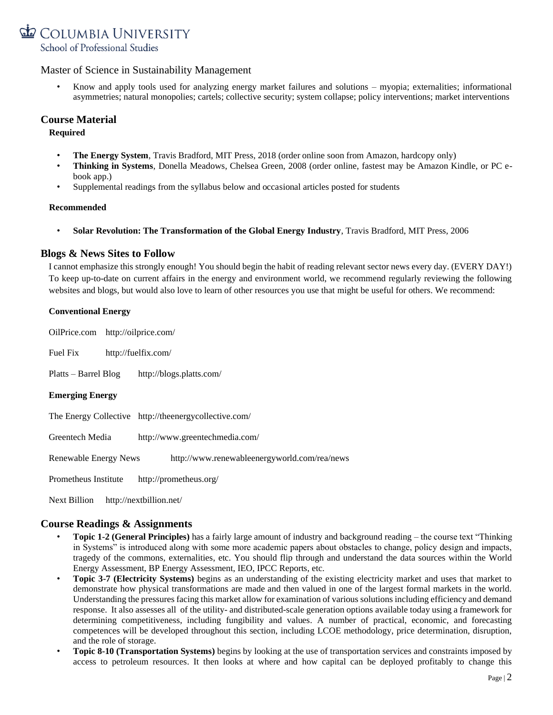

• Know and apply tools used for analyzing energy market failures and solutions – myopia; externalities; informational asymmetries; natural monopolies; cartels; collective security; system collapse; policy interventions; market interventions

### **Course Material**

**Required**

- **The Energy System**, Travis Bradford, MIT Press, 2018 (order online soon from Amazon, hardcopy only)
- **Thinking in Systems**, Donella Meadows, Chelsea Green, 2008 (order online, fastest may be Amazon Kindle, or PC ebook app.)
- Supplemental readings from the syllabus below and occasional articles posted for students

#### **Recommended**

• **Solar Revolution: The Transformation of the Global Energy Industry**, Travis Bradford, MIT Press, 2006

### **Blogs & News Sites to Follow**

I cannot emphasize this strongly enough! You should begin the habit of reading relevant sector news every day. (EVERY DAY!) To keep up-to-date on current affairs in the energy and environment world, we recommend regularly reviewing the following websites and blogs, but would also love to learn of other resources you use that might be useful for others. We recommend:

| <b>Conventional Energy</b>                                            |  |  |  |  |
|-----------------------------------------------------------------------|--|--|--|--|
| OilPrice.com http://oilprice.com/                                     |  |  |  |  |
| Fuel Fix<br>http://fuelfix.com/                                       |  |  |  |  |
| Platts – Barrel Blog<br>http://blogs.platts.com/                      |  |  |  |  |
| <b>Emerging Energy</b>                                                |  |  |  |  |
| The Energy Collective http://theenergycollective.com/                 |  |  |  |  |
| Greentech Media<br>http://www.greentechmedia.com/                     |  |  |  |  |
| http://www.renewableenergyworld.com/rea/news<br>Renewable Energy News |  |  |  |  |
| Prometheus Institute<br>http://prometheus.org/                        |  |  |  |  |
| Next Billion<br>http://nextbillion.net/                               |  |  |  |  |

### **Course Readings & Assignments**

- **Topic 1-2 (General Principles)** has a fairly large amount of industry and background reading the course text "Thinking in Systems" is introduced along with some more academic papers about obstacles to change, policy design and impacts, tragedy of the commons, externalities, etc. You should flip through and understand the data sources within the World Energy Assessment, BP Energy Assessment, IEO, IPCC Reports, etc.
- **Topic 3-7 (Electricity Systems)** begins as an understanding of the existing electricity market and uses that market to demonstrate how physical transformations are made and then valued in one of the largest formal markets in the world. Understanding the pressures facing this market allow for examination of various solutions including efficiency and demand response. It also assesses all of the utility- and distributed-scale generation options available today using a framework for determining competitiveness, including fungibility and values. A number of practical, economic, and forecasting competences will be developed throughout this section, including LCOE methodology, price determination, disruption, and the role of storage.
- **Topic 8-10 (Transportation Systems)** begins by looking at the use of transportation services and constraints imposed by access to petroleum resources. It then looks at where and how capital can be deployed profitably to change this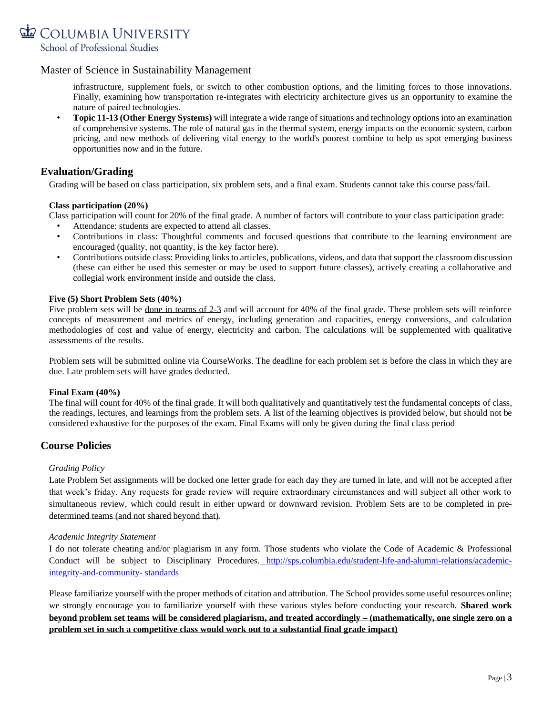

infrastructure, supplement fuels, or switch to other combustion options, and the limiting forces to those innovations. Finally, examining how transportation re-integrates with electricity architecture gives us an opportunity to examine the nature of paired technologies.

• **Topic 11-13 (Other Energy Systems)** will integrate a wide range of situations and technology options into an examination of comprehensive systems. The role of natural gas in the thermal system, energy impacts on the economic system, carbon pricing, and new methods of delivering vital energy to the world's poorest combine to help us spot emerging business opportunities now and in the future.

### **Evaluation/Grading**

Grading will be based on class participation, six problem sets, and a final exam. Students cannot take this course pass/fail.

#### **Class participation (20%)**

Class participation will count for 20% of the final grade. A number of factors will contribute to your class participation grade:

- Attendance: students are expected to attend all classes.
- Contributions in class: Thoughtful comments and focused questions that contribute to the learning environment are encouraged (quality, not quantity, is the key factor here).
- Contributions outside class: Providing links to articles, publications, videos, and data that support the classroom discussion (these can either be used this semester or may be used to support future classes), actively creating a collaborative and collegial work environment inside and outside the class.

#### **Five (5) Short Problem Sets (40%)**

Five problem sets will be done in teams of 2-3 and will account for 40% of the final grade. These problem sets will reinforce concepts of measurement and metrics of energy, including generation and capacities, energy conversions, and calculation methodologies of cost and value of energy, electricity and carbon. The calculations will be supplemented with qualitative assessments of the results.

Problem sets will be submitted online via CourseWorks. The deadline for each problem set is before the class in which they are due. Late problem sets will have grades deducted.

#### **Final Exam (40%)**

The final will count for 40% of the final grade. It will both qualitatively and quantitatively test the fundamental concepts of class, the readings, lectures, and learnings from the problem sets. A list of the learning objectives is provided below, but should not be considered exhaustive for the purposes of the exam. Final Exams will only be given during the final class period

### **Course Policies**

#### *Grading Policy*

Late Problem Set assignments will be docked one letter grade for each day they are turned in late, and will not be accepted after that week's friday. Any requests for grade review will require extraordinary circumstances and will subject all other work to simultaneous review, which could result in either upward or downward revision. Problem Sets are to be completed in predetermined teams (and not shared beyond that).

#### *Academic Integrity Statement*

I do not tolerate cheating and/or plagiarism in any form. Those students who violate the Code of Academic & Professional Conduct will be subject to Disciplinary Procedures. [http://sps.columbia.edu/student-life-and-alumni-relations/academic](http://sps.columbia.edu/student-life-and-alumni-relations/academic-integrity-and-community-standards)[integrity-and-community-](http://sps.columbia.edu/student-life-and-alumni-relations/academic-integrity-and-community-standards) [standards](http://sps.columbia.edu/student-life-and-alumni-relations/academic-integrity-and-community-standards)

Please familiarize yourself with the proper methods of citation and attribution. The School provides some useful resources online; we strongly encourage you to familiarize yourself with these various styles before conducting your research. **Shared work beyond problem set teams will be considered plagiarism, and treated accordingly – (mathematically, one single zero on a problem set in such a competitive class would work out to a substantial final grade impact)**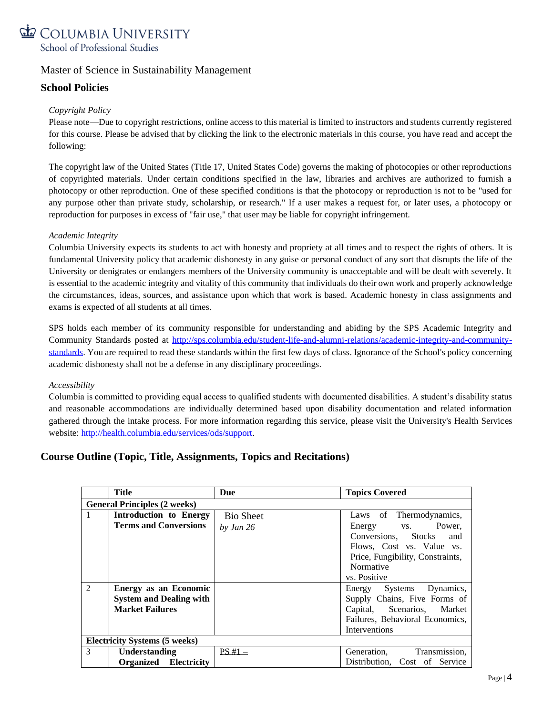

### **School Policies**

### *Copyright Policy*

Please note—Due to copyright restrictions, online access to this material is limited to instructors and students currently registered for this course. Please be advised that by clicking the link to the electronic materials in this course, you have read and accept the following:

The copyright law of the United States (Title 17, United States Code) governs the making of photocopies or other reproductions of copyrighted materials. Under certain conditions specified in the law, libraries and archives are authorized to furnish a photocopy or other reproduction. One of these specified conditions is that the photocopy or reproduction is not to be "used for any purpose other than private study, scholarship, or research." If a user makes a request for, or later uses, a photocopy or reproduction for purposes in excess of "fair use," that user may be liable for copyright infringement.

### *Academic Integrity*

Columbia University expects its students to act with honesty and propriety at all times and to respect the rights of others. It is fundamental University policy that academic dishonesty in any guise or personal conduct of any sort that disrupts the life of the University or denigrates or endangers members of the University community is unacceptable and will be dealt with severely. It is essential to the academic integrity and vitality of this community that individuals do their own work and properly acknowledge the circumstances, ideas, sources, and assistance upon which that work is based. Academic honesty in class assignments and exams is expected of all students at all times.

SPS holds each member of its community responsible for understanding and abiding by the SPS Academic Integrity and Community Standards posted at [http://sps.columbia.edu/student-life-and-alumni-relations/academic-integrity-and-community](http://sps.columbia.edu/student-life-and-alumni-relations/academic-integrity-and-community-standards)[standards.](http://sps.columbia.edu/student-life-and-alumni-relations/academic-integrity-and-community-standards) You are required to read these standards within the first few days of class. Ignorance of the School's policy concerning academic dishonesty shall not be a defense in any disciplinary proceedings.

#### *Accessibility*

Columbia is committed to providing equal access to qualified students with documented disabilities. A student's disability status and reasonable accommodations are individually determined based upon disability documentation and related information gathered through the intake process. For more information regarding this service, please visit the University's Health Services website: [http://health.columbia.edu/services/ods/support.](http://health.columbia.edu/services/ods/support)

### **Course Outline (Topic, Title, Assignments, Topics and Recitations)**

|                                      | Title                               | Due              | <b>Topics Covered</b>            |  |  |
|--------------------------------------|-------------------------------------|------------------|----------------------------------|--|--|
|                                      | <b>General Principles (2 weeks)</b> |                  |                                  |  |  |
| -1                                   | Introduction to Energy              | <b>Bio Sheet</b> | Laws of Thermodynamics,          |  |  |
|                                      | <b>Terms and Conversions</b>        | by Jan 26        | Energy vs. Power,                |  |  |
|                                      |                                     |                  | Conversions, Stocks<br>and       |  |  |
|                                      |                                     |                  | Flows, Cost vs. Value vs.        |  |  |
|                                      |                                     |                  | Price, Fungibility, Constraints, |  |  |
|                                      |                                     |                  | Normative                        |  |  |
|                                      |                                     |                  | vs. Positive                     |  |  |
| $\overline{2}$                       | <b>Energy as an Economic</b>        |                  | Energy Systems Dynamics,         |  |  |
|                                      | <b>System and Dealing with</b>      |                  | Supply Chains, Five Forms of     |  |  |
|                                      | <b>Market Failures</b>              |                  | Capital, Scenarios, Market       |  |  |
|                                      |                                     |                  | Failures, Behavioral Economics,  |  |  |
|                                      |                                     |                  | Interventions                    |  |  |
| <b>Electricity Systems (5 weeks)</b> |                                     |                  |                                  |  |  |
| 3                                    | Understanding                       | $PS#1 -$         | Generation,<br>Transmission,     |  |  |
|                                      | <b>Organized</b> Electricity        |                  | Distribution, Cost of Service    |  |  |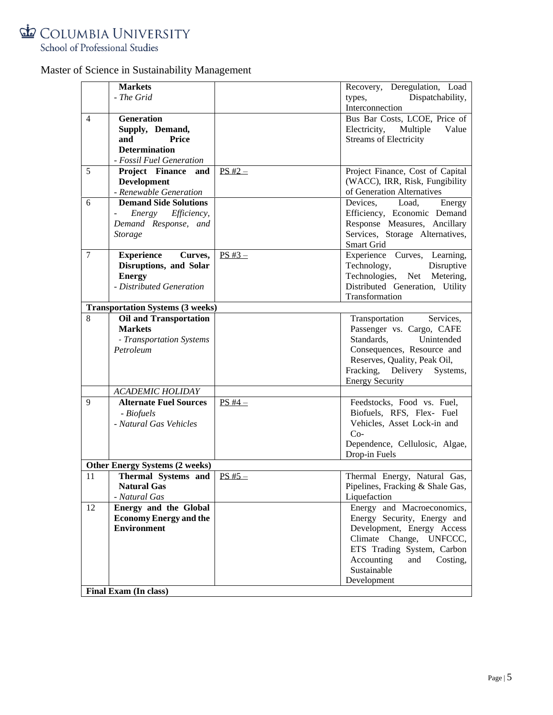

|                | <b>Markets</b>                          |           | Recovery, Deregulation, Load     |
|----------------|-----------------------------------------|-----------|----------------------------------|
|                | - The Grid                              |           | types,<br>Dispatchability,       |
|                |                                         |           | Interconnection                  |
| $\overline{4}$ | <b>Generation</b>                       |           | Bus Bar Costs, LCOE, Price of    |
|                | Supply, Demand,                         |           | Electricity, Multiple<br>Value   |
|                | Price<br>and                            |           | <b>Streams of Electricity</b>    |
|                | <b>Determination</b>                    |           |                                  |
|                | - Fossil Fuel Generation                |           |                                  |
| 5              | Project Finance and                     | $PS H2 -$ | Project Finance, Cost of Capital |
|                | <b>Development</b>                      |           | (WACC), IRR, Risk, Fungibility   |
|                | - Renewable Generation                  |           | of Generation Alternatives       |
| 6              | <b>Demand Side Solutions</b>            |           | Devices, Load,<br>Energy         |
|                | Energy Efficiency,                      |           | Efficiency, Economic Demand      |
|                | Demand Response, and                    |           | Response Measures, Ancillary     |
|                | <b>Storage</b>                          |           | Services, Storage Alternatives,  |
|                |                                         |           | Smart Grid                       |
| $\tau$         | <b>Experience</b><br>Curves,            | $PS H3 -$ | Experience Curves, Learning,     |
|                | Disruptions, and Solar                  |           | Technology,<br>Disruptive        |
|                | <b>Energy</b>                           |           | Technologies, Net Metering,      |
|                | - Distributed Generation                |           | Distributed Generation, Utility  |
|                |                                         |           | Transformation                   |
|                | <b>Transportation Systems (3 weeks)</b> |           |                                  |
| 8              | <b>Oil and Transportation</b>           |           | Services,<br>Transportation      |
|                | <b>Markets</b>                          |           | Passenger vs. Cargo, CAFE        |
|                | - Transportation Systems                |           | Standards,<br>Unintended         |
|                | Petroleum                               |           | Consequences, Resource and       |
|                |                                         |           | Reserves, Quality, Peak Oil,     |
|                |                                         |           | Fracking, Delivery<br>Systems,   |
|                |                                         |           | <b>Energy Security</b>           |
|                | <b>ACADEMIC HOLIDAY</b>                 |           |                                  |
| $\mathbf{Q}$   | <b>Alternate Fuel Sources</b>           | $PS H4-$  | Feedstocks, Food vs. Fuel,       |
|                | - Biofuels                              |           | Biofuels, RFS, Flex- Fuel        |
|                | - Natural Gas Vehicles                  |           | Vehicles, Asset Lock-in and      |
|                |                                         |           | $Co-$                            |
|                |                                         |           | Dependence, Cellulosic, Algae,   |
|                |                                         |           | Drop-in Fuels                    |
|                | <b>Other Energy Systems (2 weeks)</b>   |           |                                  |
| 11             | Thermal Systems and                     | $PS H5 -$ | Thermal Energy, Natural Gas,     |
|                | <b>Natural Gas</b>                      |           | Pipelines, Fracking & Shale Gas, |
|                | - Natural Gas                           |           | Liquefaction                     |
| 12             | <b>Energy and the Global</b>            |           | Energy and Macroeconomics,       |
|                | <b>Economy Energy and the</b>           |           | Energy Security, Energy and      |
|                | <b>Environment</b>                      |           | Development, Energy Access       |
|                |                                         |           | Climate Change, UNFCCC,          |
|                |                                         |           | ETS Trading System, Carbon       |
|                |                                         |           | Accounting<br>and<br>Costing,    |
|                |                                         |           | Sustainable                      |
|                |                                         |           | Development                      |
|                | Final Exam (In class)                   |           |                                  |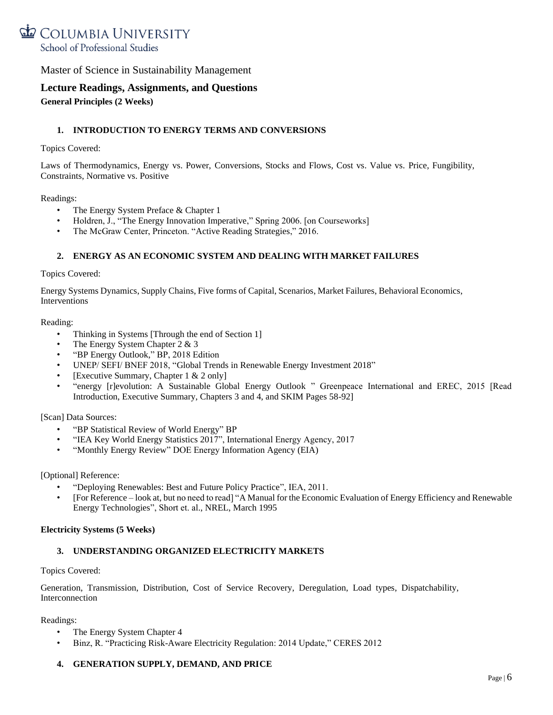

### **Lecture Readings, Assignments, and Questions General Principles (2 Weeks)**

#### **1. INTRODUCTION TO ENERGY TERMS AND CONVERSIONS**

#### Topics Covered:

Laws of Thermodynamics, Energy vs. Power, Conversions, Stocks and Flows, Cost vs. Value vs. Price, Fungibility, Constraints, Normative vs. Positive

#### Readings:

- The Energy System Preface & Chapter 1
- Holdren, J., ["The Energy Innovation Imperative,](http://belfercenter.ksg.harvard.edu/files/innovations_the_imperative_6_06.pdf)" Spring 2006. [on Courseworks]
- The McGraw Center, Princeton. ["Active Reading Strategies,](https://mcgraw.princeton.edu/active-reading-strategies)" 2016.

#### **2. ENERGY AS AN ECONOMIC SYSTEM AND DEALING WITH MARKET FAILURES**

#### Topics Covered:

Energy Systems Dynamics, Supply Chains, Five forms of Capital, Scenarios, Market Failures, Behavioral Economics, Interventions

#### Reading:

- Thinking in Systems [Through the end of Section 1]
- The Energy System Chapter 2 & 3
- ["BP Energy Outlook,"](https://www.bp.com/content/dam/bp/en/corporate/pdf/energy-economics/energy-outlook/bp-energy-outlook-2018.pdf) BP, 2018 Edition
- UNEP/ SEFI/ BNEF 2018, ["Global Trends in Renewable Energy Investment 2018"](http://fs-unep-centre.org/sites/default/files/publications/gtr2018v2.pdf)
- [Executive Summary, Chapter 1 & 2 only]
- ["energy \[r\]evolution: A Sustainable Global Energy Outlook "](http://www.greenpeace.org/international/Global/international/publications/climate/2015/Energy-Revolution-2015-Full.pdf) Greenpeace International and EREC, 2015 [Read Introduction, Executive Summary, Chapters 3 and 4, and SKIM Pages 58-92]

#### [Scan] Data Sources:

- ["BP Statistical Review of World Energy"](https://www.bp.com/content/dam/bp/en/corporate/pdf/energy-economics/statistical-review/bp-stats-review-2018-full-report.pdf) BP
- ["IEA Key World Energy Statistics 2017](https://webstore.iea.org/key-world-energy-statistics-2017)", International Energy Agency, 2017
- ["Monthly Energy Review"](http://www.eia.doe.gov/mer/pdf/mer.pdf) DOE Energy Information Agency (EIA)

#### [Optional] Reference:

- ["Deploying Renewables: Best and Future Policy Practice"](http://www.iea.org/publications/freepublications/publication/Deploying_Renewables2011.pdf), IEA, 2011.
- [For Reference look at, but no need to read] ["A Manual for the Economic Evaluation of](https://www.nrel.gov/docs/legosti/old/5173.pdf) [Energy Efficiency and Renewable](https://www.nrel.gov/docs/legosti/old/5173.pdf)  [Energy Technologies"](https://www.nrel.gov/docs/legosti/old/5173.pdf), Short et. al., NREL, March 1995

#### **Electricity Systems (5 Weeks)**

#### **3. UNDERSTANDING ORGANIZED ELECTRICITY MARKETS**

#### Topics Covered:

Generation, Transmission, Distribution, Cost of Service Recovery, Deregulation, Load types, Dispatchability, Interconnection

#### Readings:

- The Energy System Chapter 4
- Binz, R. ["Practicing Risk-Aware Electricity Regulation:](https://www.ceres.org/resources/reports/practicing-risk-aware-electricity-regulation-2014-update) 2014 Update," CERES 2012

#### **4. GENERATION SUPPLY, DEMAND, AND PRICE**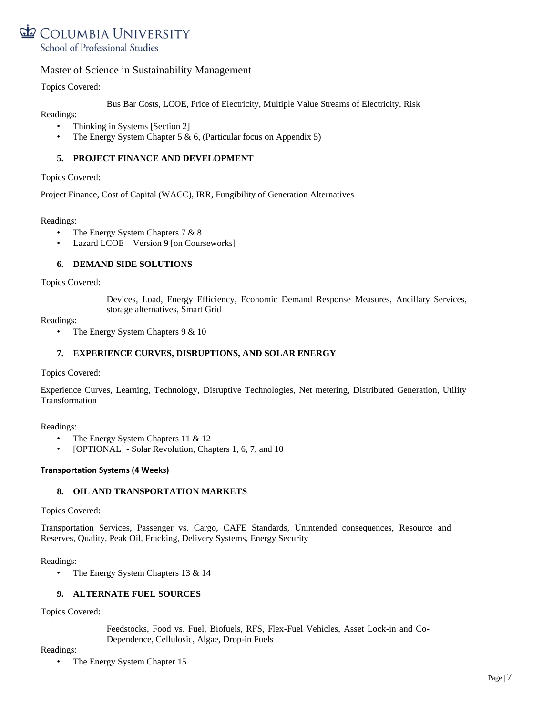

Topics Covered:

Bus Bar Costs, LCOE, Price of Electricity, Multiple Value Streams of Electricity, Risk

Readings:

- Thinking in Systems [Section 2]
- The Energy System Chapter 5 & 6, (Particular focus on Appendix 5)

#### **5. PROJECT FINANCE AND DEVELOPMENT**

Topics Covered:

Project Finance, Cost of Capital (WACC), IRR, Fungibility of Generation Alternatives

Readings:

- The Energy System Chapters 7 & 8
- Lazard LCOE Version 9 [on Courseworks]

#### **6. DEMAND SIDE SOLUTIONS**

Topics Covered:

Devices, Load, Energy Efficiency, Economic Demand Response Measures, Ancillary Services, storage alternatives, Smart Grid

Readings:

• The Energy System Chapters 9 & 10

#### **7. EXPERIENCE CURVES, DISRUPTIONS, AND SOLAR ENERGY**

Topics Covered:

Experience Curves, Learning, Technology, Disruptive Technologies, Net metering, Distributed Generation, Utility Transformation

Readings:

- The Energy System Chapters 11 & 12
- [OPTIONAL] Solar Revolution, Chapters 1, 6, 7, and 10

#### **Transportation Systems (4 Weeks)**

#### **8. OIL AND TRANSPORTATION MARKETS**

Topics Covered:

Transportation Services, Passenger vs. Cargo, CAFE Standards, Unintended consequences, Resource and Reserves, Quality, Peak Oil, Fracking, Delivery Systems, Energy Security

Readings:

• The Energy System Chapters 13 & 14

#### **9. ALTERNATE FUEL SOURCES**

Topics Covered:

Feedstocks, Food vs. Fuel, Biofuels, RFS, Flex-Fuel Vehicles, Asset Lock-in and Co-Dependence, Cellulosic, Algae, Drop-in Fuels

Readings:

• The Energy System Chapter 15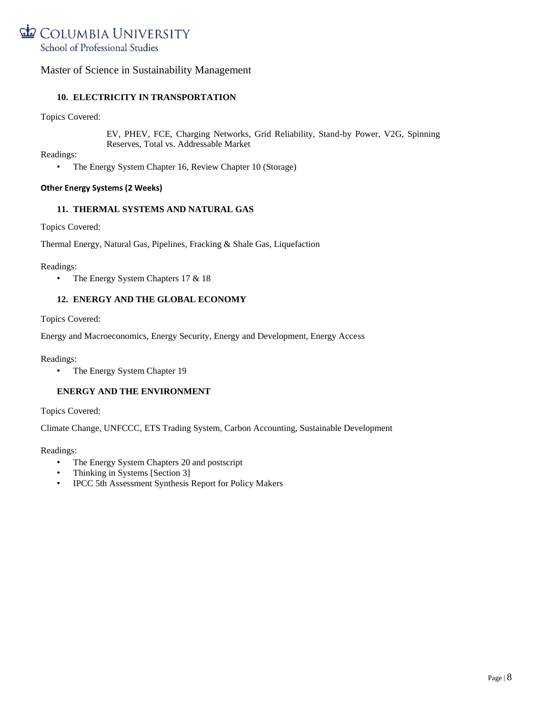

### **10. ELECTRICITY IN TRANSPORTATION**

Topics Covered:

EV, PHEV, FCE, Charging Networks, Grid Reliability, Stand-by Power, V2G, Spinning Reserves, Total vs. Addressable Market

Readings:

• The Energy System Chapter 16, Review Chapter 10 (Storage)

#### **Other Energy Systems (2 Weeks)**

#### **11. THERMAL SYSTEMS AND NATURAL GAS**

Topics Covered:

Thermal Energy, Natural Gas, Pipelines, Fracking & Shale Gas, Liquefaction

Readings:

• The Energy System Chapters 17 & 18

#### **12. ENERGY AND THE GLOBAL ECONOMY**

Topics Covered:

Energy and Macroeconomics, Energy Security, Energy and Development, Energy Access

Readings:

• The Energy System Chapter 19

#### **ENERGY AND THE ENVIRONMENT**

Topics Covered:

Climate Change, UNFCCC, ETS Trading System, Carbon Accounting, Sustainable Development

Readings:

- The Energy System Chapters 20 and postscript
- Thinking in Systems [Section 3]
- IPCC 5th Assessment Synthesis Report for Policy Makers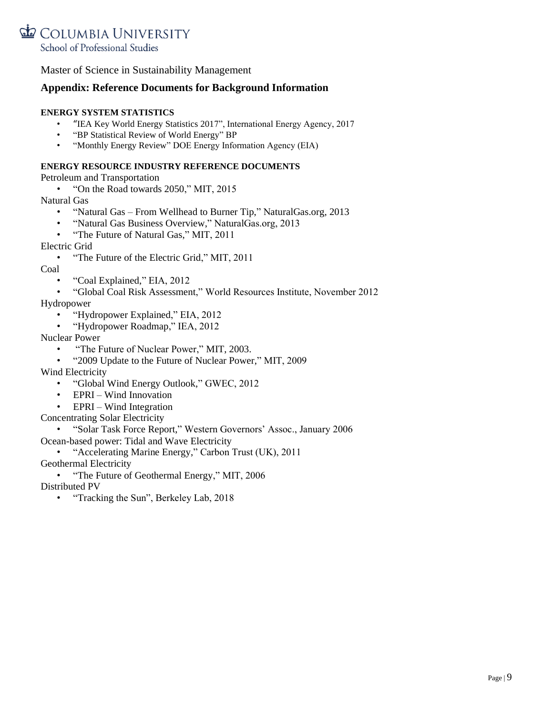

### **Appendix: Reference Documents for Background Information**

### **ENERGY SYSTEM STATISTICS**

- "[IEA Key World Energy Statistics 2017](https://webstore.iea.org/key-world-energy-statistics-2017)", International Energy Agency, 2017
- ["BP Statistical Review of World Energy"](https://www.bp.com/content/dam/bp/en/corporate/pdf/energy-economics/statistical-review/bp-stats-review-2018-full-report.pdf) BP
- ["Monthly Energy Review"](http://www.eia.doe.gov/mer/pdf/mer.pdf) DOE Energy Information Agency (EIA)

### **ENERGY RESOURCE INDUSTRY REFERENCE DOCUMENTS**

Petroleum and Transportation

• ["On the Road towards 2050,](http://energy.mit.edu/publication/on-the-road-toward-2050/)" MIT, 2015

Natural Gas

- "Natural Gas [From Wellhead to Burner Tip,"](http://naturalgas.org/naturalgas/) NaturalGas.org, 2013
- ["Natural Gas Business Overview,"](http://naturalgas.org/business/) NaturalGas.org, 2013
- ["The Future of Natural Gas,"](http://energy.mit.edu/publication/future-natural-gas/) MIT, 2011

Electric Grid

• ["The Future of the Electric Grid,](http://mitei.mit.edu/publications/reports-studies/future-electric-grid)" MIT, 2011

Coal

- ["Coal Explained,"](http://www.eia.gov/energyexplained/index.cfm?page=coal_home) EIA, 2012
- ["Global Coal Risk Assessment,](http://www.wri.org/publication/global-coal-risk-assessment)" World Resources Institute, November 2012

Hydropower

- ["Hydropower Explained,](http://www.eia.gov/energyexplained/index.cfm?page=hydropower_home)" EIA, 2012
- ["Hydropower Roadmap,](https://webstore.iea.org/technology-roadmap-hydropower)" IEA, 2012

Nuclear Power

- ["The Future of Nuclear Power," M](http://web.mit.edu/nuclearpower)IT, 2003.
- ["2009 Update to the Future of Nuclear Power,"](http://web.mit.edu/nuclearpower/pdf/nuclearpower-update2009.pdf) MIT, 2009

Wind Electricity

- ["Global Wind Energy Outlook,"](http://www.gwec.net/publications/global-wind-energy-outlook/) GWEC, 2012
- EPRI [Wind Innovation](http://www.epri.com/abstracts/Pages/ProductAbstract.aspx?ProductId=000000000001023455)
- EPRI [Wind Integration](http://www.epri.com/abstracts/pages/productabstract.aspx?ProductID=000000000001023166)

Concentrating Solar Electricity

• ["Solar Task Force Report,"](http://www.hubbertpeak.com/us/westernGovernors2006.pdf) Western Governors' Assoc., January 2006

Ocean-based power: Tidal and Wave Electricity

• ["Accelerating Marine Energy,"](http://www.carbontrust.com/media/5675/ctc797.pdf) Carbon Trust (UK), 2011

Geothermal Electricity

• ["The Future of Geothermal Energy,](https://energy.mit.edu/wp-content/uploads/2006/11/MITEI-The-Future-of-Geothermal-Energy.pdf)" MIT, 2006

Distributed PV

• ["Tracking t](https://emp.lbl.gov/tracking-the-sun/?utm_source=newsletter111&utm_medium=email&utm_campaign=Constant%20Contact)he Sun", Berkeley Lab, 2018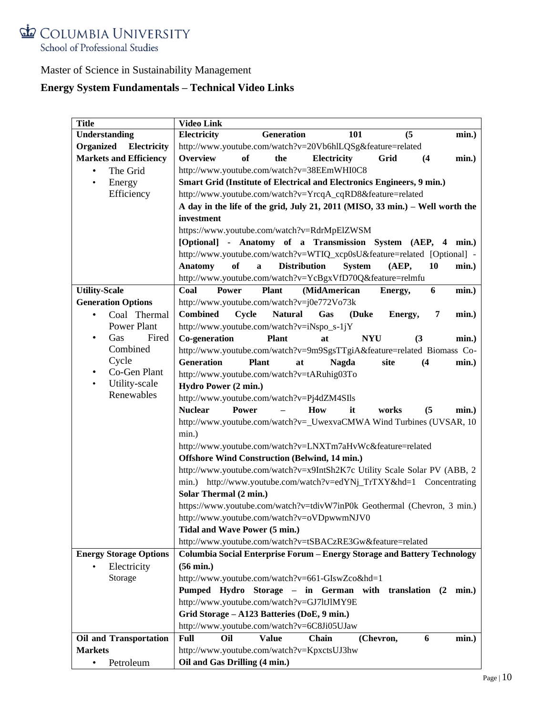

# **Energy System Fundamentals – Technical Video Links**

| <b>Title</b>                  | <b>Video Link</b>                                                                                       |
|-------------------------------|---------------------------------------------------------------------------------------------------------|
| Understanding                 | Electricity<br><b>Generation</b><br>(5)<br>101<br>min.)                                                 |
| Organized<br>Electricity      | http://www.youtube.com/watch?v=20Vb6hlLQSg&feature=related                                              |
| <b>Markets and Efficiency</b> | <b>Overview</b><br>of<br>the<br>Electricity<br>Grid<br>(4)<br>min.)                                     |
| The Grid<br>$\bullet$         | http://www.youtube.com/watch?v=38EEmWHI0C8                                                              |
| Energy<br>$\bullet$           | Smart Grid (Institute of Electrical and Electronics Engineers, 9 min.)                                  |
| Efficiency                    | http://www.youtube.com/watch?v=YrcqA_cqRD8&feature=related                                              |
|                               | A day in the life of the grid, July 21, 2011 (MISO, 33 min.) – Well worth the                           |
|                               | investment                                                                                              |
|                               | https://www.youtube.com/watch?v=RdrMpElZWSM                                                             |
|                               | [Optional] - Anatomy of a Transmission System (AEP, 4<br>min.)                                          |
|                               | http://www.youtube.com/watch?v=WTIQ_xcp0sU&feature=related [Optional] -                                 |
|                               | of<br><b>Distribution</b><br>10<br><b>Anatomy</b><br>$\mathbf{a}$<br><b>System</b><br>(AEP,<br>$min.$ ) |
|                               | http://www.youtube.com/watch?v=YcBgxVfD70Q&feature=relmfu                                               |
| <b>Utility-Scale</b>          | Coal<br><b>Power</b><br><b>Plant</b><br>(MidAmerican<br>6<br>min.)<br>Energy,                           |
| <b>Generation Options</b>     | http://www.youtube.com/watch?v=j0e772Vo73k                                                              |
| Coal Thermal                  | <b>Combined</b><br>Cycle<br><b>Natural</b><br>Gas<br>(Duke<br>7<br>min.)                                |
| Power Plant                   | Energy,<br>http://www.youtube.com/watch?v=iNspo_s-1jY                                                   |
| Fired<br>Gas<br>٠             | Co-generation<br><b>Plant</b><br><b>NYU</b><br>at                                                       |
| Combined                      | (3)<br>$min.$ )                                                                                         |
| Cycle                         | http://www.youtube.com/watch?v=9m9SgsTTgiA&feature=related Biomass Co-                                  |
| Co-Gen Plant<br>$\bullet$     | <b>Generation</b><br><b>Plant</b><br><b>Nagda</b><br>site<br>(4)<br>min.)<br>at                         |
| Utility-scale<br>$\bullet$    | http://www.youtube.com/watch?v=tARuhig03To                                                              |
| Renewables                    | Hydro Power (2 min.)                                                                                    |
|                               | http://www.youtube.com/watch?v=Pj4dZM4SIls                                                              |
|                               | <b>Nuclear</b><br>Power<br>How<br>(5)<br>it<br>works<br>min.)                                           |
|                               | http://www.youtube.com/watch?v=_UwexvaCMWA Wind Turbines (UVSAR, 10                                     |
|                               | min.)                                                                                                   |
|                               | http://www.youtube.com/watch?v=LNXTm7aHvWc&feature=related                                              |
|                               | <b>Offshore Wind Construction (Belwind, 14 min.)</b>                                                    |
|                               | http://www.youtube.com/watch?v=x9IntSh2K7c Utility Scale Solar PV (ABB, 2                               |
|                               | min.) http://www.youtube.com/watch?v=edYNj_TrTXY&hd=1 Concentrating                                     |
|                               | Solar Thermal (2 min.)                                                                                  |
|                               | https://www.youtube.com/watch?v=tdivW7inP0k Geothermal (Chevron, 3 min.)                                |
|                               | http://www.youtube.com/watch?v=oVDpwwmNJV0                                                              |
|                               | Tidal and Wave Power (5 min.)                                                                           |
|                               | http://www.youtube.com/watch?v=tSBACzRE3Gw&feature=related                                              |
| <b>Energy Storage Options</b> | Columbia Social Enterprise Forum - Energy Storage and Battery Technology                                |
| Electricity<br>$\bullet$      | $(56$ min.)                                                                                             |
| Storage                       | http://www.youtube.com/watch?v=661-GIswZco&hd=1                                                         |
|                               | Pumped Hydro Storage - in German with translation (2 min.)                                              |
|                               | http://www.youtube.com/watch?v=GJ7ltJlMY9E                                                              |
|                               | Grid Storage - A123 Batteries (DoE, 9 min.)                                                             |
|                               | http://www.youtube.com/watch?v=6C8Ji05UJaw                                                              |
| <b>Oil and Transportation</b> | Full<br><b>Value</b><br>Oil<br>Chain<br>(Chevron,<br>6<br>min.)                                         |
| <b>Markets</b>                | http://www.youtube.com/watch?v=KpxctsUJ3hw                                                              |
| Petroleum<br>$\bullet$        | Oil and Gas Drilling (4 min.)                                                                           |
|                               |                                                                                                         |